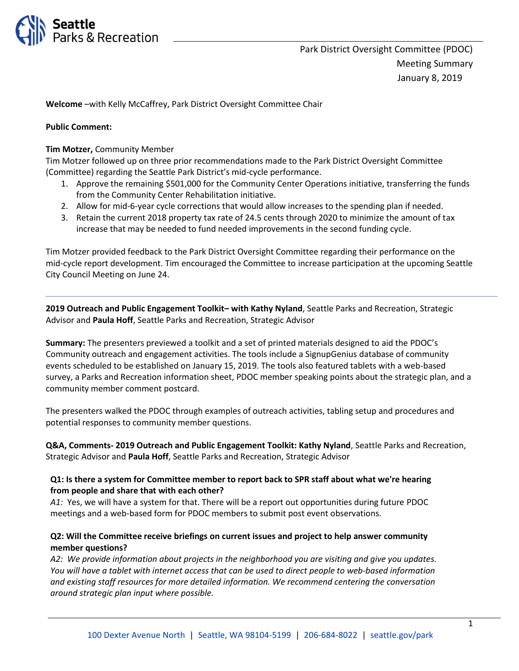

**Welcome** –with Kelly McCaffrey, Park District Oversight Committee Chair

### **Public Comment:**

### **Tim Motzer,** Community Member

Tim Motzer followed up on three prior recommendations made to the Park District Oversight Committee (Committee) regarding the Seattle Park District's mid-cycle performance.

- 1. Approve the remaining \$501,000 for the Community Center Operations initiative, transferring the funds from the Community Center Rehabilitation initiative.
- 2. Allow for mid-6-year cycle corrections that would allow increases to the spending plan if needed.
- 3. Retain the current 2018 property tax rate of 24.5 cents through 2020 to minimize the amount of tax increase that may be needed to fund needed improvements in the second funding cycle.

Tim Motzer provided feedback to the Park District Oversight Committee regarding their performance on the mid-cycle report development. Tim encouraged the Committee to increase participation at the upcoming Seattle City Council Meeting on June 24.

**2019 Outreach and Public Engagement Toolkit– with Kathy Nyland**, Seattle Parks and Recreation, Strategic Advisor and **Paula Hoff**, Seattle Parks and Recreation, Strategic Advisor

**Summary:** The presenters previewed a toolkit and a set of printed materials designed to aid the PDOC's Community outreach and engagement activities. The tools include a SignupGenius database of community events scheduled to be established on January 15, 2019. The tools also featured tablets with a web-based survey, a Parks and Recreation information sheet, PDOC member speaking points about the strategic plan, and a community member comment postcard.

The presenters walked the PDOC through examples of outreach activities, tabling setup and procedures and potential responses to community member questions.

**Q&A, Comments- 2019 Outreach and Public Engagement Toolkit: Kathy Nyland**, Seattle Parks and Recreation, Strategic Advisor and **Paula Hoff**, Seattle Parks and Recreation, Strategic Advisor

### **Q1: Is there a system for Committee member to report back to SPR staff about what we're hearing from people and share that with each other?**

*A1:* Yes, we will have a system for that. There will be a report out opportunities during future PDOC meetings and a web-based form for PDOC members to submit post event observations.

## **Q2: Will the Committee receive briefings on current issues and project to help answer community member questions?**

*A2: We provide information about projects in the neighborhood you are visiting and give you updates. You will have a tablet with internet access that can be used to direct people to web-based information and existing staff resources for more detailed information. We recommend centering the conversation around strategic plan input where possible.*